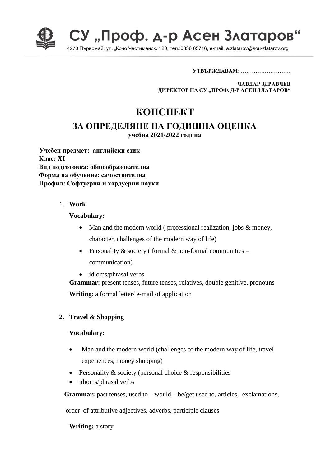

СУ "Проф. д-р Асен Златаров

4270 Първомай, ул. "Кочо Честименски" 20, тел.:0336 65716, e-mail: a.zlatarov@sou-zlatarov.org

**УТВЪРЖДАВАМ**: ………………………

**ЧАВДАР ЗДРАВЧЕВ ДИРЕКТОР НА СУ "ПРОФ. Д-Р АСЕН ЗЛАТАРОВ"**

# **КОНСПЕКТ**

# **ЗА ОПРЕДЕЛЯНЕ НА ГОДИШНА ОЦЕНКА**

**учебна 2021/2022 година**

**Учебен предмет: английски език Клас: XI Вид подготовка: общообразователна Форма на обучение: самостоятелна Профил: Софтуерни и хардуерни науки**

1. **Work**

#### **Vocabulary:**

- Man and the modern world (professional realization, jobs & money, character, challenges of the modern way of life)
- Personality & society (formal & non-formal communities communication)
- idioms/phrasal verbs

**Grammar:** present tenses, future tenses, relatives, double genitive, pronouns **Writing**: a formal letter/ e-mail of application

## **2. Travel & Shopping**

## **Vocabulary:**

- Man and the modern world (challenges of the modern way of life, travel experiences, money shopping)
- **•** Personality  $\&$  society (personal choice  $\&$  responsibilities
- idioms/phrasal verbs

**Grammar:** past tenses, used to – would – be/get used to, articles, exclamations,

order of attributive adjectives, adverbs, participle clauses

**Writing:** a story